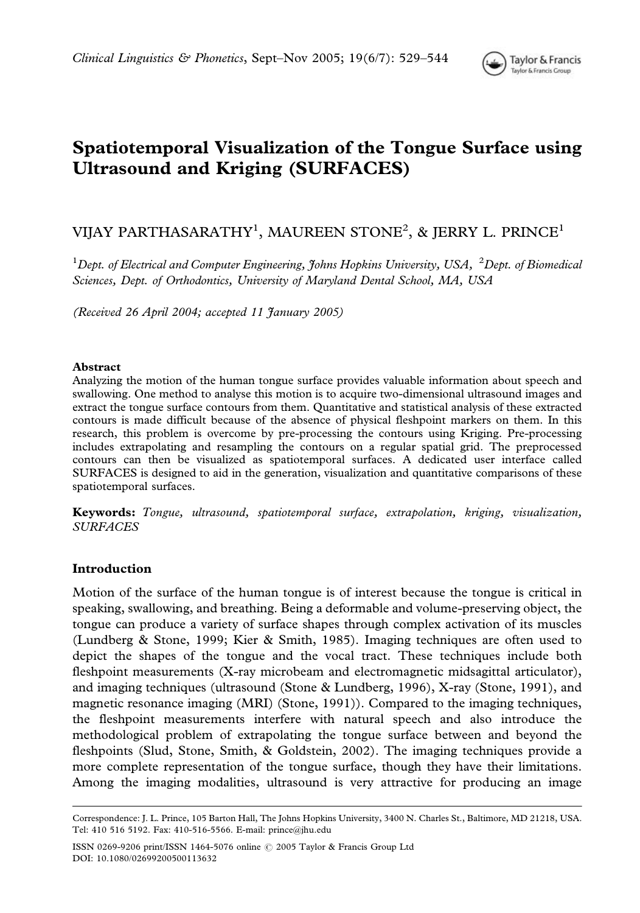

# Spatiotemporal Visualization of the Tongue Surface using Ultrasound and Kriging (SURFACES)

# VIJAY PARTHASARATHY<sup>1</sup>, MAUREEN STONE<sup>2</sup>, & JERRY L. PRINCE<sup>1</sup>

<sup>1</sup>Dept. of Electrical and Computer Engineering, Johns Hopkins University, USA, <sup>2</sup>Dept. of Biomedical Sciences, Dept. of Orthodontics, University of Maryland Dental School, MA, USA

(Received 26 April 2004; accepted 11 January 2005)

#### Abstract

Analyzing the motion of the human tongue surface provides valuable information about speech and swallowing. One method to analyse this motion is to acquire two-dimensional ultrasound images and extract the tongue surface contours from them. Quantitative and statistical analysis of these extracted contours is made difficult because of the absence of physical fleshpoint markers on them. In this research, this problem is overcome by pre-processing the contours using Kriging. Pre-processing includes extrapolating and resampling the contours on a regular spatial grid. The preprocessed contours can then be visualized as spatiotemporal surfaces. A dedicated user interface called SURFACES is designed to aid in the generation, visualization and quantitative comparisons of these spatiotemporal surfaces.

Keywords: Tongue, ultrasound, spatiotemporal surface, extrapolation, kriging, visualization, **SURFACES** 

### Introduction

Motion of the surface of the human tongue is of interest because the tongue is critical in speaking, swallowing, and breathing. Being a deformable and volume-preserving object, the tongue can produce a variety of surface shapes through complex activation of its muscles (Lundberg & Stone, 1999; Kier & Smith, 1985). Imaging techniques are often used to depict the shapes of the tongue and the vocal tract. These techniques include both fleshpoint measurements (X-ray microbeam and electromagnetic midsagittal articulator), and imaging techniques (ultrasound (Stone & Lundberg, 1996), X-ray (Stone, 1991), and magnetic resonance imaging (MRI) (Stone, 1991)). Compared to the imaging techniques, the fleshpoint measurements interfere with natural speech and also introduce the methodological problem of extrapolating the tongue surface between and beyond the fleshpoints (Slud, Stone, Smith, & Goldstein, 2002). The imaging techniques provide a more complete representation of the tongue surface, though they have their limitations. Among the imaging modalities, ultrasound is very attractive for producing an image

Correspondence: J. L. Prince, 105 Barton Hall, The Johns Hopkins University, 3400 N. Charles St., Baltimore, MD 21218, USA. Tel: 410 516 5192. Fax: 410-516-5566. E-mail: prince@jhu.edu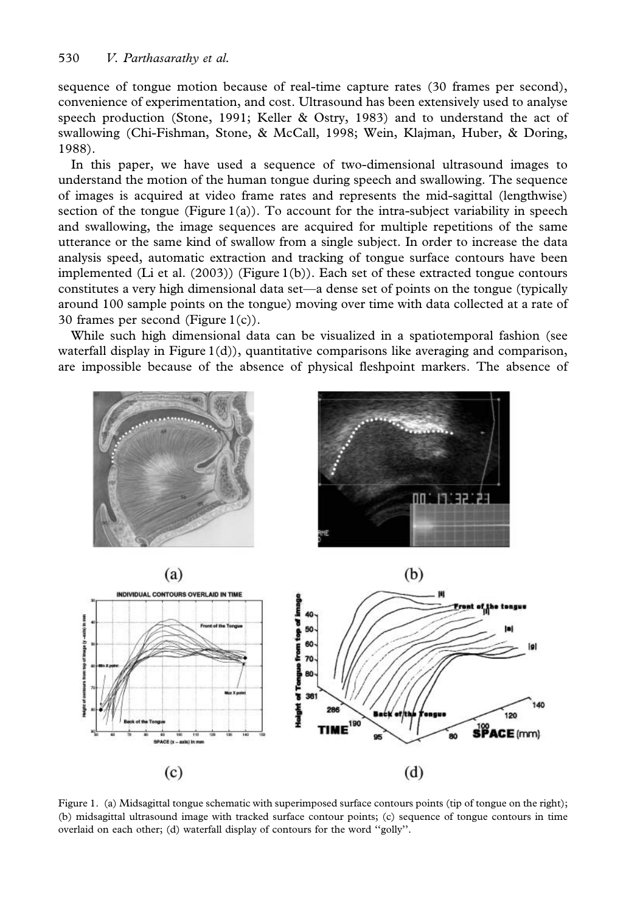sequence of tongue motion because of real-time capture rates (30 frames per second), convenience of experimentation, and cost. Ultrasound has been extensively used to analyse speech production (Stone, 1991; Keller & Ostry, 1983) and to understand the act of swallowing (Chi-Fishman, Stone, & McCall, 1998; Wein, Klajman, Huber, & Doring, 1988).

In this paper, we have used a sequence of two-dimensional ultrasound images to understand the motion of the human tongue during speech and swallowing. The sequence of images is acquired at video frame rates and represents the mid-sagittal (lengthwise) section of the tongue (Figure 1(a)). To account for the intra-subject variability in speech and swallowing, the image sequences are acquired for multiple repetitions of the same utterance or the same kind of swallow from a single subject. In order to increase the data analysis speed, automatic extraction and tracking of tongue surface contours have been implemented (Li et al.  $(2003)$ ) (Figure 1(b)). Each set of these extracted tongue contours constitutes a very high dimensional data set—a dense set of points on the tongue (typically around 100 sample points on the tongue) moving over time with data collected at a rate of 30 frames per second (Figure 1(c)).

While such high dimensional data can be visualized in a spatiotemporal fashion (see waterfall display in Figure  $1(d)$ ), quantitative comparisons like averaging and comparison, are impossible because of the absence of physical fleshpoint markers. The absence of



Figure 1. (a) Midsagittal tongue schematic with superimposed surface contours points (tip of tongue on the right); (b) midsagittal ultrasound image with tracked surface contour points; (c) sequence of tongue contours in time overlaid on each other; (d) waterfall display of contours for the word ''golly''.

 $(c)$ 

120

 $(d)$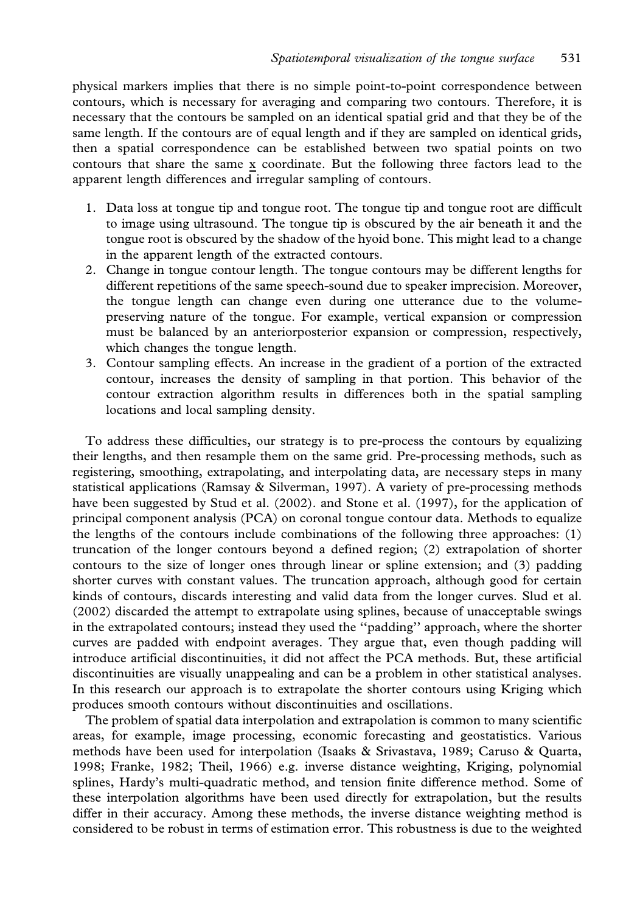physical markers implies that there is no simple point-to-point correspondence between contours, which is necessary for averaging and comparing two contours. Therefore, it is necessary that the contours be sampled on an identical spatial grid and that they be of the same length. If the contours are of equal length and if they are sampled on identical grids, then a spatial correspondence can be established between two spatial points on two contours that share the same x coordinate. But the following three factors lead to the apparent length differences and irregular sampling of contours.

- 1. Data loss at tongue tip and tongue root. The tongue tip and tongue root are difficult to image using ultrasound. The tongue tip is obscured by the air beneath it and the tongue root is obscured by the shadow of the hyoid bone. This might lead to a change in the apparent length of the extracted contours.
- 2. Change in tongue contour length. The tongue contours may be different lengths for different repetitions of the same speech-sound due to speaker imprecision. Moreover, the tongue length can change even during one utterance due to the volumepreserving nature of the tongue. For example, vertical expansion or compression must be balanced by an anteriorposterior expansion or compression, respectively, which changes the tongue length.
- 3. Contour sampling effects. An increase in the gradient of a portion of the extracted contour, increases the density of sampling in that portion. This behavior of the contour extraction algorithm results in differences both in the spatial sampling locations and local sampling density.

To address these difficulties, our strategy is to pre-process the contours by equalizing their lengths, and then resample them on the same grid. Pre-processing methods, such as registering, smoothing, extrapolating, and interpolating data, are necessary steps in many statistical applications (Ramsay & Silverman, 1997). A variety of pre-processing methods have been suggested by Stud et al. (2002). and Stone et al. (1997), for the application of principal component analysis (PCA) on coronal tongue contour data. Methods to equalize the lengths of the contours include combinations of the following three approaches: (1) truncation of the longer contours beyond a defined region; (2) extrapolation of shorter contours to the size of longer ones through linear or spline extension; and (3) padding shorter curves with constant values. The truncation approach, although good for certain kinds of contours, discards interesting and valid data from the longer curves. Slud et al. (2002) discarded the attempt to extrapolate using splines, because of unacceptable swings in the extrapolated contours; instead they used the ''padding'' approach, where the shorter curves are padded with endpoint averages. They argue that, even though padding will introduce artificial discontinuities, it did not affect the PCA methods. But, these artificial discontinuities are visually unappealing and can be a problem in other statistical analyses. In this research our approach is to extrapolate the shorter contours using Kriging which produces smooth contours without discontinuities and oscillations.

The problem of spatial data interpolation and extrapolation is common to many scientific areas, for example, image processing, economic forecasting and geostatistics. Various methods have been used for interpolation (Isaaks & Srivastava, 1989; Caruso & Quarta, 1998; Franke, 1982; Theil, 1966) e.g. inverse distance weighting, Kriging, polynomial splines, Hardy's multi-quadratic method, and tension finite difference method. Some of these interpolation algorithms have been used directly for extrapolation, but the results differ in their accuracy. Among these methods, the inverse distance weighting method is considered to be robust in terms of estimation error. This robustness is due to the weighted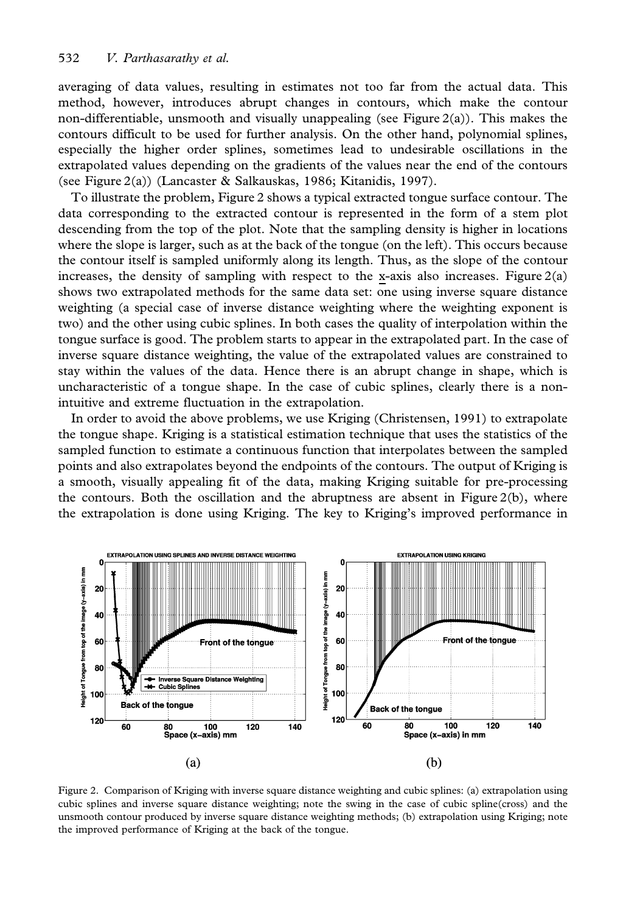averaging of data values, resulting in estimates not too far from the actual data. This method, however, introduces abrupt changes in contours, which make the contour non-differentiable, unsmooth and visually unappealing (see Figure 2(a)). This makes the contours difficult to be used for further analysis. On the other hand, polynomial splines, especially the higher order splines, sometimes lead to undesirable oscillations in the extrapolated values depending on the gradients of the values near the end of the contours (see Figure 2(a)) (Lancaster & Salkauskas, 1986; Kitanidis, 1997).

To illustrate the problem, Figure 2 shows a typical extracted tongue surface contour. The data corresponding to the extracted contour is represented in the form of a stem plot descending from the top of the plot. Note that the sampling density is higher in locations where the slope is larger, such as at the back of the tongue (on the left). This occurs because the contour itself is sampled uniformly along its length. Thus, as the slope of the contour increases, the density of sampling with respect to the x-axis also increases. Figure  $2(a)$ shows two extrapolated methods for the same data set: one using inverse square distance weighting (a special case of inverse distance weighting where the weighting exponent is two) and the other using cubic splines. In both cases the quality of interpolation within the tongue surface is good. The problem starts to appear in the extrapolated part. In the case of inverse square distance weighting, the value of the extrapolated values are constrained to stay within the values of the data. Hence there is an abrupt change in shape, which is uncharacteristic of a tongue shape. In the case of cubic splines, clearly there is a nonintuitive and extreme fluctuation in the extrapolation.

In order to avoid the above problems, we use Kriging (Christensen, 1991) to extrapolate the tongue shape. Kriging is a statistical estimation technique that uses the statistics of the sampled function to estimate a continuous function that interpolates between the sampled points and also extrapolates beyond the endpoints of the contours. The output of Kriging is a smooth, visually appealing fit of the data, making Kriging suitable for pre-processing the contours. Both the oscillation and the abruptness are absent in Figure  $2(b)$ , where the extrapolation is done using Kriging. The key to Kriging's improved performance in



Figure 2. Comparison of Kriging with inverse square distance weighting and cubic splines: (a) extrapolation using cubic splines and inverse square distance weighting; note the swing in the case of cubic spline(cross) and the unsmooth contour produced by inverse square distance weighting methods; (b) extrapolation using Kriging; note the improved performance of Kriging at the back of the tongue.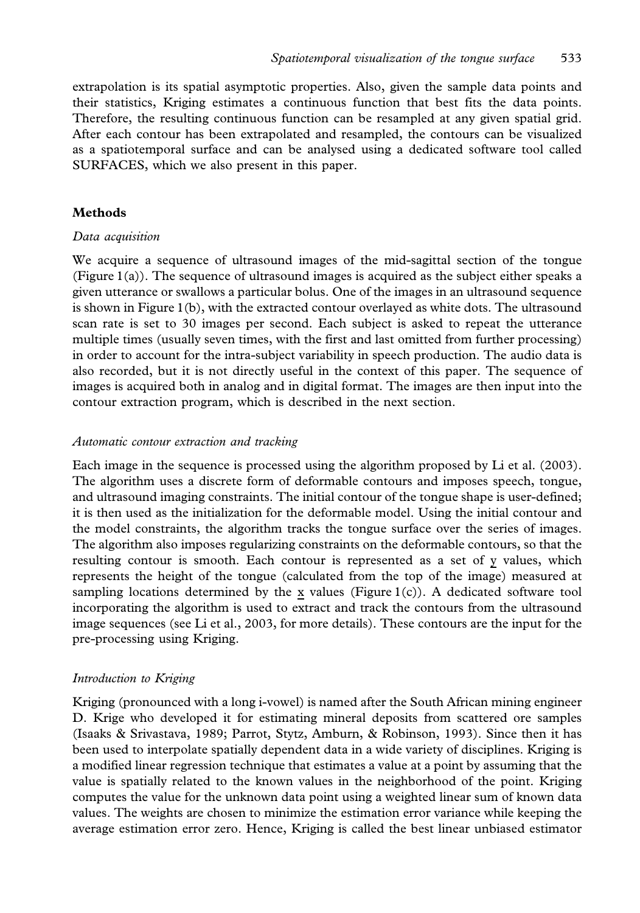extrapolation is its spatial asymptotic properties. Also, given the sample data points and their statistics, Kriging estimates a continuous function that best fits the data points. Therefore, the resulting continuous function can be resampled at any given spatial grid. After each contour has been extrapolated and resampled, the contours can be visualized as a spatiotemporal surface and can be analysed using a dedicated software tool called SURFACES, which we also present in this paper.

## Methods

### Data acquisition

We acquire a sequence of ultrasound images of the mid-sagittal section of the tongue (Figure 1(a)). The sequence of ultrasound images is acquired as the subject either speaks a given utterance or swallows a particular bolus. One of the images in an ultrasound sequence is shown in Figure 1(b), with the extracted contour overlayed as white dots. The ultrasound scan rate is set to 30 images per second. Each subject is asked to repeat the utterance multiple times (usually seven times, with the first and last omitted from further processing) in order to account for the intra-subject variability in speech production. The audio data is also recorded, but it is not directly useful in the context of this paper. The sequence of images is acquired both in analog and in digital format. The images are then input into the contour extraction program, which is described in the next section.

### Automatic contour extraction and tracking

Each image in the sequence is processed using the algorithm proposed by Li et al. (2003). The algorithm uses a discrete form of deformable contours and imposes speech, tongue, and ultrasound imaging constraints. The initial contour of the tongue shape is user-defined; it is then used as the initialization for the deformable model. Using the initial contour and the model constraints, the algorithm tracks the tongue surface over the series of images. The algorithm also imposes regularizing constraints on the deformable contours, so that the resulting contour is smooth. Each contour is represented as a set of y values, which represents the height of the tongue (calculated from the top of the image) measured at sampling locations determined by the x values (Figure  $1(c)$ ). A dedicated software tool incorporating the algorithm is used to extract and track the contours from the ultrasound image sequences (see Li et al., 2003, for more details). These contours are the input for the pre-processing using Kriging.

### Introduction to Kriging

Kriging (pronounced with a long i-vowel) is named after the South African mining engineer D. Krige who developed it for estimating mineral deposits from scattered ore samples (Isaaks & Srivastava, 1989; Parrot, Stytz, Amburn, & Robinson, 1993). Since then it has been used to interpolate spatially dependent data in a wide variety of disciplines. Kriging is a modified linear regression technique that estimates a value at a point by assuming that the value is spatially related to the known values in the neighborhood of the point. Kriging computes the value for the unknown data point using a weighted linear sum of known data values. The weights are chosen to minimize the estimation error variance while keeping the average estimation error zero. Hence, Kriging is called the best linear unbiased estimator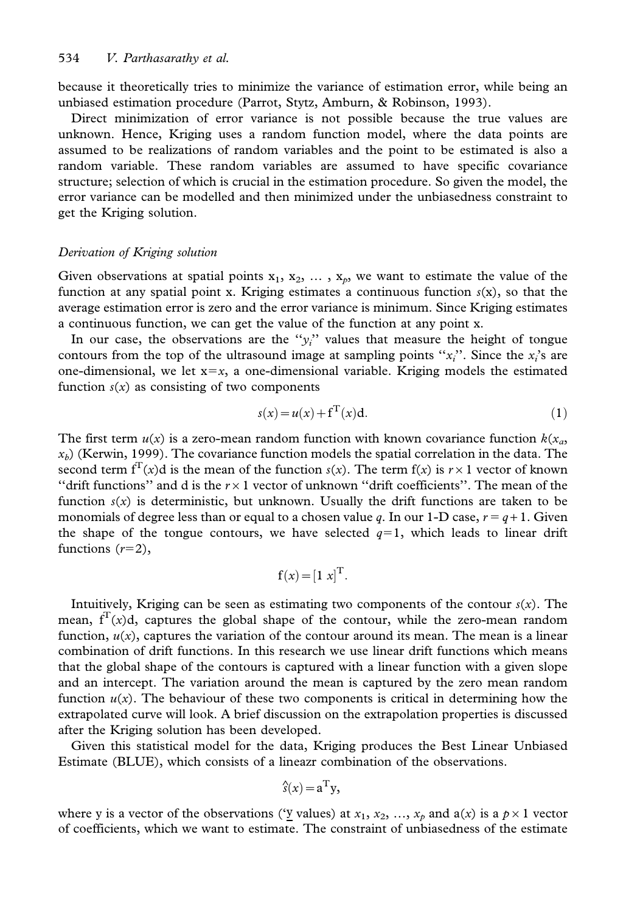because it theoretically tries to minimize the variance of estimation error, while being an unbiased estimation procedure (Parrot, Stytz, Amburn, & Robinson, 1993).

Direct minimization of error variance is not possible because the true values are unknown. Hence, Kriging uses a random function model, where the data points are assumed to be realizations of random variables and the point to be estimated is also a random variable. These random variables are assumed to have specific covariance structure; selection of which is crucial in the estimation procedure. So given the model, the error variance can be modelled and then minimized under the unbiasedness constraint to get the Kriging solution.

### Derivation of Kriging solution

Given observations at spatial points  $x_1, x_2, \ldots, x_p$ , we want to estimate the value of the function at any spatial point x. Kriging estimates a continuous function  $s(x)$ , so that the average estimation error is zero and the error variance is minimum. Since Kriging estimates a continuous function, we can get the value of the function at any point x.

In our case, the observations are the " $y_i$ " values that measure the height of tongue contours from the top of the ultrasound image at sampling points " $x_i$ ". Since the  $x_i$ 's are one-dimensional, we let  $x=x$ , a one-dimensional variable. Kriging models the estimated function  $s(x)$  as consisting of two components

$$
s(x) = u(x) + f^{T}(x)d.
$$
 (1)

The first term  $u(x)$  is a zero-mean random function with known covariance function  $k(x_a)$  $x<sub>b</sub>$  (Kerwin, 1999). The covariance function models the spatial correlation in the data. The second term  $f^{T}(x)$ d is the mean of the function  $s(x)$ . The term  $f(x)$  is  $r\times 1$  vector of known "drift functions" and d is the  $r\times1$  vector of unknown "drift coefficients". The mean of the function  $s(x)$  is deterministic, but unknown. Usually the drift functions are taken to be monomials of degree less than or equal to a chosen value q. In our 1-D case,  $r = q + 1$ . Given the shape of the tongue contours, we have selected  $q=1$ , which leads to linear drift functions  $(r=2)$ ,

$$
\mathbf{f}(x) = [1 \ x]^{\mathrm{T}}.
$$

Intuitively, Kriging can be seen as estimating two components of the contour  $s(x)$ . The mean,  $f<sup>T</sup>(x)d$ , captures the global shape of the contour, while the zero-mean random function,  $u(x)$ , captures the variation of the contour around its mean. The mean is a linear combination of drift functions. In this research we use linear drift functions which means that the global shape of the contours is captured with a linear function with a given slope and an intercept. The variation around the mean is captured by the zero mean random function  $u(x)$ . The behaviour of these two components is critical in determining how the extrapolated curve will look. A brief discussion on the extrapolation properties is discussed after the Kriging solution has been developed.

Given this statistical model for the data, Kriging produces the Best Linear Unbiased Estimate (BLUE), which consists of a lineazr combination of the observations.

$$
\hat{s}(x) = a^{\mathrm{T}} y,
$$

where y is a vector of the observations ('y values) at  $x_1, x_2, ..., x_p$  and  $a(x)$  is a  $p \times 1$  vector of coefficients, which we want to estimate. The constraint of unbiasedness of the estimate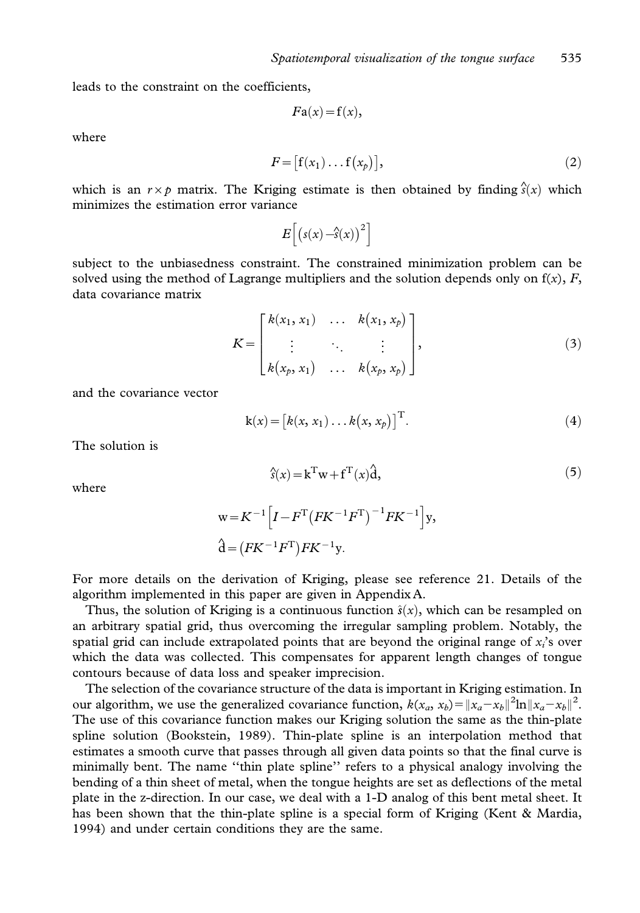leads to the constraint on the coefficients,

$$
Fa(x)=f(x),
$$

where

$$
F = [f(x_1) \dots f(x_p)], \qquad (2)
$$

which is an  $r \times p$  matrix. The Kriging estimate is then obtained by finding  $\hat{s}(x)$  which minimizes the estimation error variance

$$
E\left[\left(s(x) - \hat{s}(x)\right)^2\right]
$$

subject to the unbiasedness constraint. The constrained minimization problem can be solved using the method of Lagrange multipliers and the solution depends only on  $f(x)$ , F, data covariance matrix

$$
K = \begin{bmatrix} k(x_1, x_1) & \dots & k(x_1, x_p) \\ \vdots & \ddots & \vdots \\ k(x_p, x_1) & \dots & k(x_p, x_p) \end{bmatrix},
$$
 (3)

and the covariance vector

$$
k(x) = [k(x, x_1) \dots k(x, x_p)]^T.
$$
 (4)

The solution is

where

$$
\hat{s}(x) = \mathbf{k}^{\mathrm{T}} \mathbf{w} + \mathbf{f}^{\mathrm{T}}(x) \hat{\mathbf{d}},\tag{5}
$$

$$
w = K^{-1} \left[ I - F^{T} \left( F K^{-1} F^{T} \right)^{-1} F K^{-1} \right] y,
$$
  
\n
$$
\hat{d} = \left( F K^{-1} F^{T} \right) F K^{-1} y.
$$

For more details on the derivation of Kriging, please see reference 21. Details of the algorithm implemented in this paper are given in Appendix A.

Thus, the solution of Kriging is a continuous function  $\hat{s}(x)$ , which can be resampled on an arbitrary spatial grid, thus overcoming the irregular sampling problem. Notably, the spatial grid can include extrapolated points that are beyond the original range of  $x<sub>i</sub>$ 's over which the data was collected. This compensates for apparent length changes of tongue contours because of data loss and speaker imprecision.

The selection of the covariance structure of the data is important in Kriging estimation. In our algorithm, we use the generalized covariance function,  $k(x_a, x_b) = ||x_a - x_b||^2 \ln ||x_a - x_b||^2$ . The use of this covariance function makes our Kriging solution the same as the thin-plate spline solution (Bookstein, 1989). Thin-plate spline is an interpolation method that estimates a smooth curve that passes through all given data points so that the final curve is minimally bent. The name ''thin plate spline'' refers to a physical analogy involving the bending of a thin sheet of metal, when the tongue heights are set as deflections of the metal plate in the z-direction. In our case, we deal with a 1-D analog of this bent metal sheet. It has been shown that the thin-plate spline is a special form of Kriging (Kent & Mardia, 1994) and under certain conditions they are the same.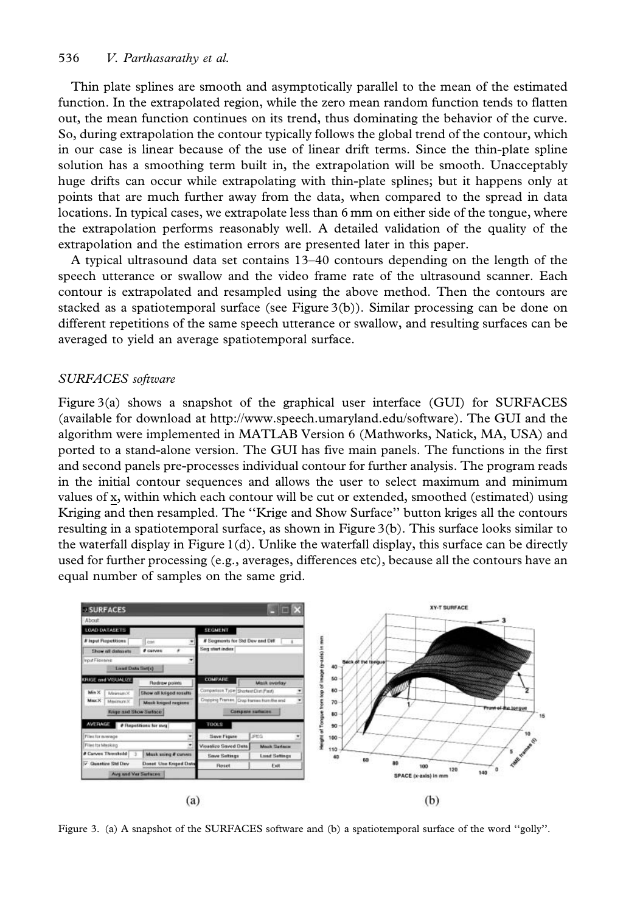Thin plate splines are smooth and asymptotically parallel to the mean of the estimated function. In the extrapolated region, while the zero mean random function tends to flatten out, the mean function continues on its trend, thus dominating the behavior of the curve. So, during extrapolation the contour typically follows the global trend of the contour, which in our case is linear because of the use of linear drift terms. Since the thin-plate spline solution has a smoothing term built in, the extrapolation will be smooth. Unacceptably huge drifts can occur while extrapolating with thin-plate splines; but it happens only at points that are much further away from the data, when compared to the spread in data locations. In typical cases, we extrapolate less than 6 mm on either side of the tongue, where the extrapolation performs reasonably well. A detailed validation of the quality of the extrapolation and the estimation errors are presented later in this paper.

A typical ultrasound data set contains 13–40 contours depending on the length of the speech utterance or swallow and the video frame rate of the ultrasound scanner. Each contour is extrapolated and resampled using the above method. Then the contours are stacked as a spatiotemporal surface (see Figure 3(b)). Similar processing can be done on different repetitions of the same speech utterance or swallow, and resulting surfaces can be averaged to yield an average spatiotemporal surface.

### SURFACES software

Figure 3(a) shows a snapshot of the graphical user interface (GUI) for SURFACES (available for download at http://www.speech.umaryland.edu/software). The GUI and the algorithm were implemented in MATLAB Version 6 (Mathworks, Natick, MA, USA) and ported to a stand-alone version. The GUI has five main panels. The functions in the first and second panels pre-processes individual contour for further analysis. The program reads in the initial contour sequences and allows the user to select maximum and minimum values of x, within which each contour will be cut or extended, smoothed (estimated) using Kriging and then resampled. The ''Krige and Show Surface'' button kriges all the contours resulting in a spatiotemporal surface, as shown in Figure 3(b). This surface looks similar to the waterfall display in Figure 1(d). Unlike the waterfall display, this surface can be directly used for further processing (e.g., averages, differences etc), because all the contours have an equal number of samples on the same grid.



Figure 3. (a) A snapshot of the SURFACES software and (b) a spatiotemporal surface of the word "golly".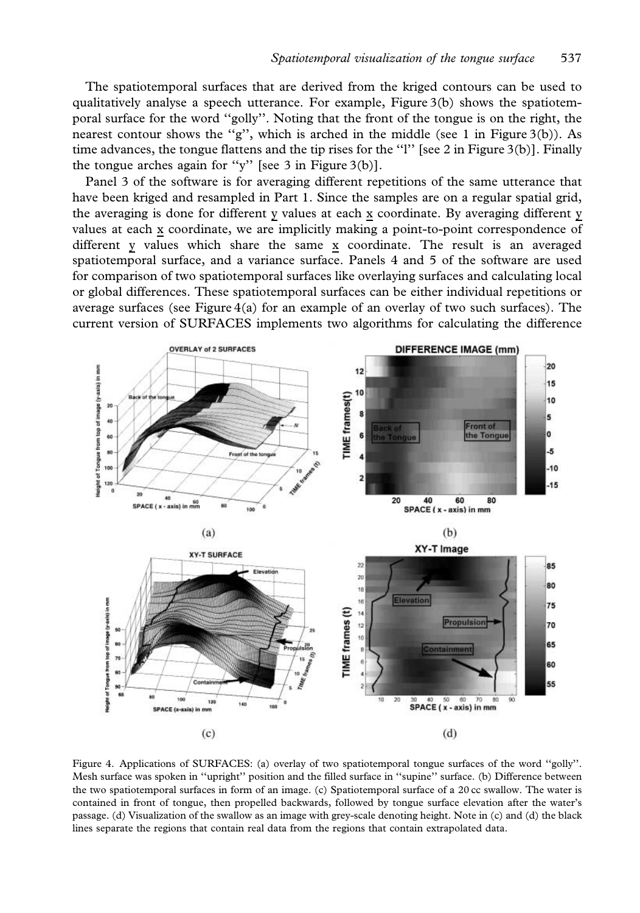The spatiotemporal surfaces that are derived from the kriged contours can be used to qualitatively analyse a speech utterance. For example, Figure 3(b) shows the spatiotemporal surface for the word ''golly''. Noting that the front of the tongue is on the right, the nearest contour shows the "g", which is arched in the middle (see 1 in Figure 3(b)). As time advances, the tongue flattens and the tip rises for the "l" [see 2 in Figure 3(b)]. Finally the tongue arches again for ''y'' [see 3 in Figure 3(b)].

Panel 3 of the software is for averaging different repetitions of the same utterance that have been kriged and resampled in Part 1. Since the samples are on a regular spatial grid, the averaging is done for different y values at each x coordinate. By averaging different y values at each x coordinate, we are implicitly making a point-to-point correspondence of different y values which share the same x coordinate. The result is an averaged spatiotemporal surface, and a variance surface. Panels 4 and 5 of the software are used for comparison of two spatiotemporal surfaces like overlaying surfaces and calculating local or global differences. These spatiotemporal surfaces can be either individual repetitions or average surfaces (see Figure  $4(a)$  for an example of an overlay of two such surfaces). The current version of SURFACES implements two algorithms for calculating the difference



Figure 4. Applications of SURFACES: (a) overlay of two spatiotemporal tongue surfaces of the word ''golly''. Mesh surface was spoken in ''upright'' position and the filled surface in ''supine'' surface. (b) Difference between the two spatiotemporal surfaces in form of an image. (c) Spatiotemporal surface of a 20 cc swallow. The water is contained in front of tongue, then propelled backwards, followed by tongue surface elevation after the water's passage. (d) Visualization of the swallow as an image with grey-scale denoting height. Note in (c) and (d) the black lines separate the regions that contain real data from the regions that contain extrapolated data.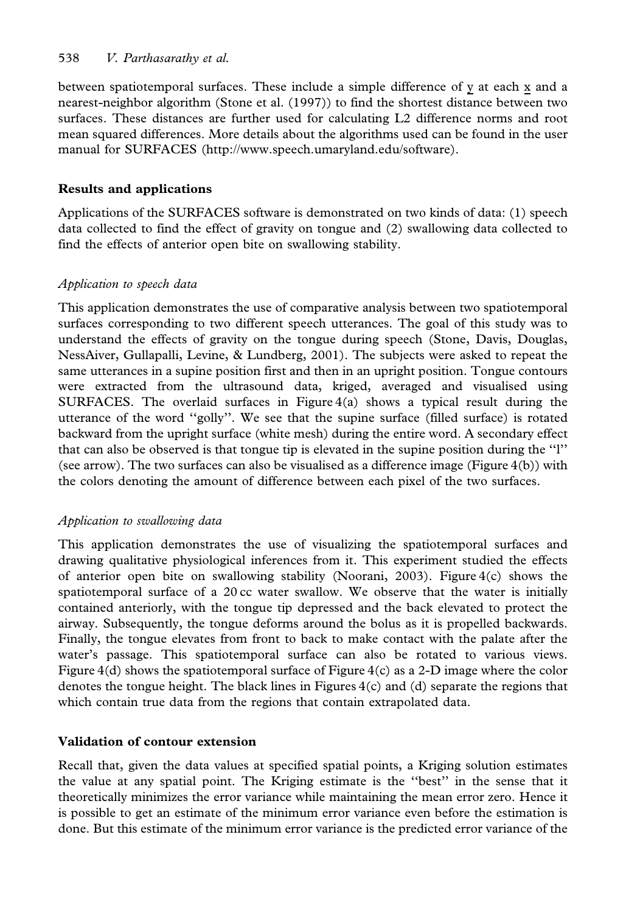## 538 V. Parthasarathy et al.

between spatiotemporal surfaces. These include a simple difference of y at each x and a nearest-neighbor algorithm (Stone et al. (1997)) to find the shortest distance between two surfaces. These distances are further used for calculating L2 difference norms and root mean squared differences. More details about the algorithms used can be found in the user manual for SURFACES (http://www.speech.umaryland.edu/software).

# Results and applications

Applications of the SURFACES software is demonstrated on two kinds of data: (1) speech data collected to find the effect of gravity on tongue and (2) swallowing data collected to find the effects of anterior open bite on swallowing stability.

# Application to speech data

This application demonstrates the use of comparative analysis between two spatiotemporal surfaces corresponding to two different speech utterances. The goal of this study was to understand the effects of gravity on the tongue during speech (Stone, Davis, Douglas, NessAiver, Gullapalli, Levine, & Lundberg, 2001). The subjects were asked to repeat the same utterances in a supine position first and then in an upright position. Tongue contours were extracted from the ultrasound data, kriged, averaged and visualised using SURFACES. The overlaid surfaces in Figure  $4(a)$  shows a typical result during the utterance of the word ''golly''. We see that the supine surface (filled surface) is rotated backward from the upright surface (white mesh) during the entire word. A secondary effect that can also be observed is that tongue tip is elevated in the supine position during the ''l'' (see arrow). The two surfaces can also be visualised as a difference image (Figure 4(b)) with the colors denoting the amount of difference between each pixel of the two surfaces.

# Application to swallowing data

This application demonstrates the use of visualizing the spatiotemporal surfaces and drawing qualitative physiological inferences from it. This experiment studied the effects of anterior open bite on swallowing stability (Noorani, 2003). Figure  $4(c)$  shows the spatiotemporal surface of a 20 cc water swallow. We observe that the water is initially contained anteriorly, with the tongue tip depressed and the back elevated to protect the airway. Subsequently, the tongue deforms around the bolus as it is propelled backwards. Finally, the tongue elevates from front to back to make contact with the palate after the water's passage. This spatiotemporal surface can also be rotated to various views. Figure  $4(d)$  shows the spatiotemporal surface of Figure  $4(c)$  as a 2-D image where the color denotes the tongue height. The black lines in Figures 4(c) and (d) separate the regions that which contain true data from the regions that contain extrapolated data.

# Validation of contour extension

Recall that, given the data values at specified spatial points, a Kriging solution estimates the value at any spatial point. The Kriging estimate is the ''best'' in the sense that it theoretically minimizes the error variance while maintaining the mean error zero. Hence it is possible to get an estimate of the minimum error variance even before the estimation is done. But this estimate of the minimum error variance is the predicted error variance of the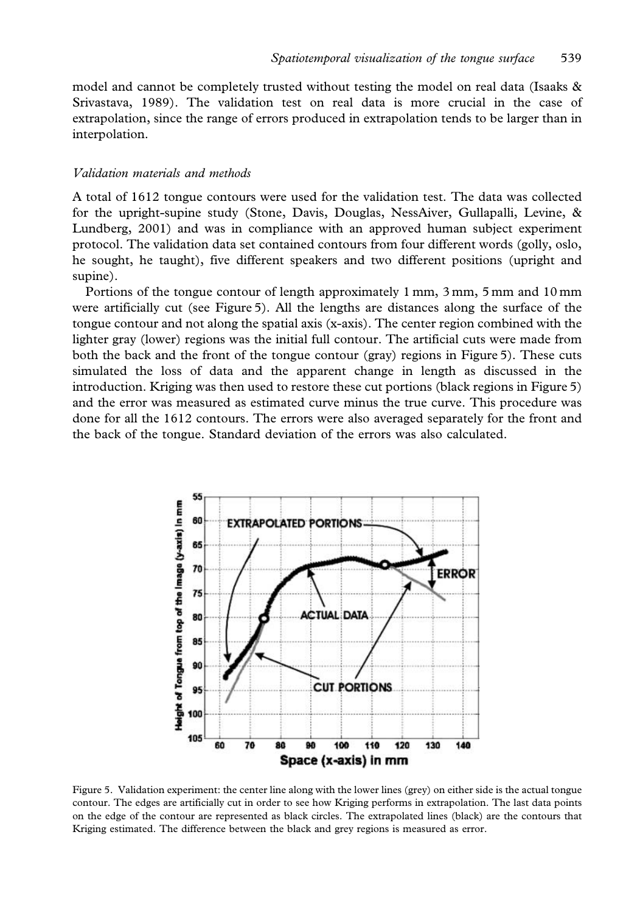model and cannot be completely trusted without testing the model on real data (Isaaks & Srivastava, 1989). The validation test on real data is more crucial in the case of extrapolation, since the range of errors produced in extrapolation tends to be larger than in interpolation.

### Validation materials and methods

A total of 1612 tongue contours were used for the validation test. The data was collected for the upright-supine study (Stone, Davis, Douglas, NessAiver, Gullapalli, Levine, & Lundberg, 2001) and was in compliance with an approved human subject experiment protocol. The validation data set contained contours from four different words (golly, oslo, he sought, he taught), five different speakers and two different positions (upright and supine).

Portions of the tongue contour of length approximately 1 mm, 3 mm, 5 mm and 10 mm were artificially cut (see Figure 5). All the lengths are distances along the surface of the tongue contour and not along the spatial axis (x-axis). The center region combined with the lighter gray (lower) regions was the initial full contour. The artificial cuts were made from both the back and the front of the tongue contour (gray) regions in Figure 5). These cuts simulated the loss of data and the apparent change in length as discussed in the introduction. Kriging was then used to restore these cut portions (black regions in Figure 5) and the error was measured as estimated curve minus the true curve. This procedure was done for all the 1612 contours. The errors were also averaged separately for the front and the back of the tongue. Standard deviation of the errors was also calculated.



Figure 5. Validation experiment: the center line along with the lower lines (grey) on either side is the actual tongue contour. The edges are artificially cut in order to see how Kriging performs in extrapolation. The last data points on the edge of the contour are represented as black circles. The extrapolated lines (black) are the contours that Kriging estimated. The difference between the black and grey regions is measured as error.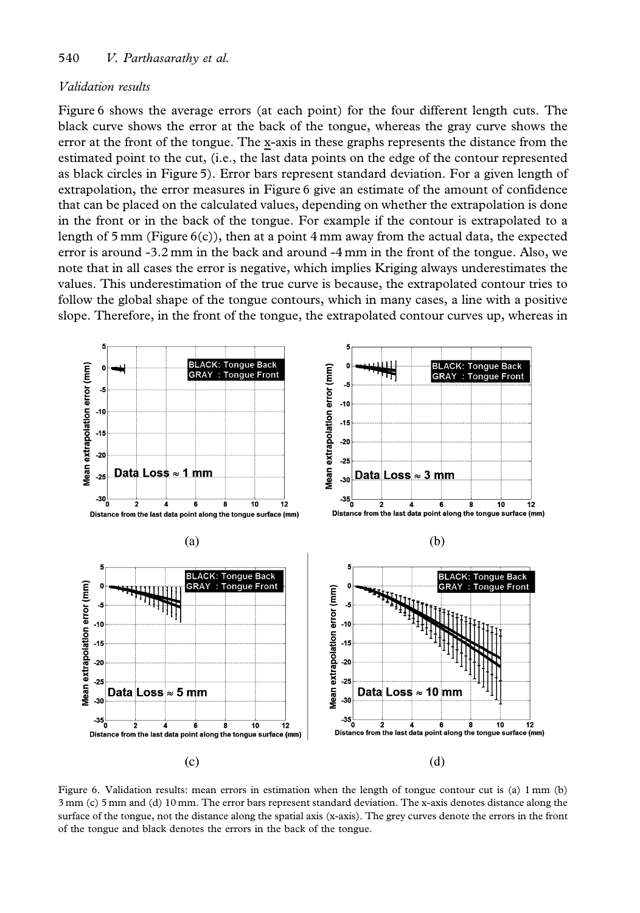### 540 V. Parthasarathy et al.

### Validation results

Figure 6 shows the average errors (at each point) for the four different length cuts. The black curve shows the error at the back of the tongue, whereas the gray curve shows the error at the front of the tongue. The x-axis in these graphs represents the distance from the estimated point to the cut, (i.e., the last data points on the edge of the contour represented as black circles in Figure 5). Error bars represent standard deviation. For a given length of extrapolation, the error measures in Figure 6 give an estimate of the amount of confidence that can be placed on the calculated values, depending on whether the extrapolation is done in the front or in the back of the tongue. For example if the contour is extrapolated to a length of 5 mm (Figure  $6(c)$ ), then at a point 4 mm away from the actual data, the expected error is around -3.2 mm in the back and around -4 mm in the front of the tongue. Also, we note that in all cases the error is negative, which implies Kriging always underestimates the values. This underestimation of the true curve is because, the extrapolated contour tries to follow the global shape of the tongue contours, which in many cases, a line with a positive slope. Therefore, in the front of the tongue, the extrapolated contour curves up, whereas in



Figure 6. Validation results: mean errors in estimation when the length of tongue contour cut is (a) 1 mm (b) 3 mm (c) 5 mm and (d) 10 mm. The error bars represent standard deviation. The x-axis denotes distance along the surface of the tongue, not the distance along the spatial axis (x-axis). The grey curves denote the errors in the front of the tongue and black denotes the errors in the back of the tongue.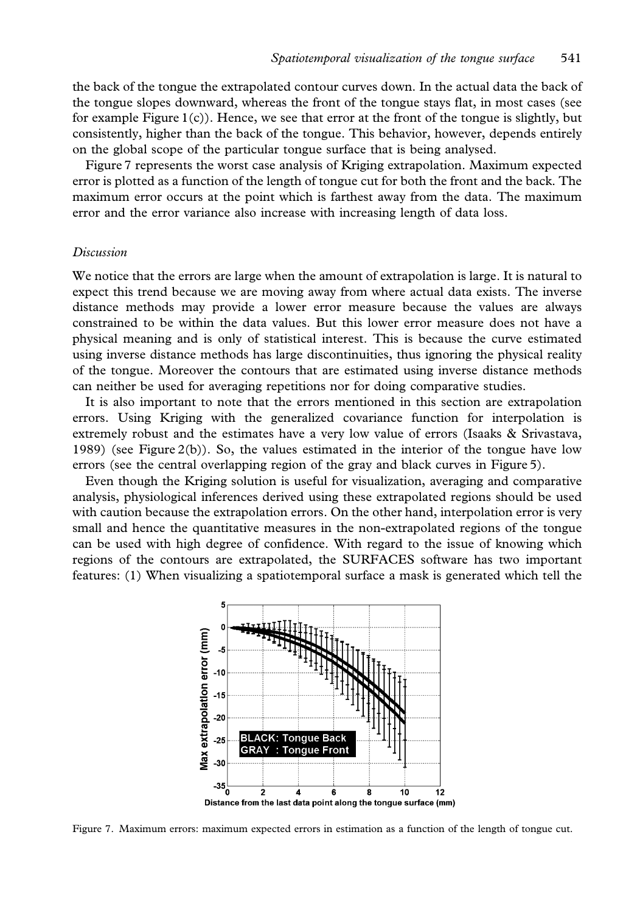the back of the tongue the extrapolated contour curves down. In the actual data the back of the tongue slopes downward, whereas the front of the tongue stays flat, in most cases (see for example Figure  $1(c)$ ). Hence, we see that error at the front of the tongue is slightly, but consistently, higher than the back of the tongue. This behavior, however, depends entirely on the global scope of the particular tongue surface that is being analysed.

Figure 7 represents the worst case analysis of Kriging extrapolation. Maximum expected error is plotted as a function of the length of tongue cut for both the front and the back. The maximum error occurs at the point which is farthest away from the data. The maximum error and the error variance also increase with increasing length of data loss.

#### Discussion

We notice that the errors are large when the amount of extrapolation is large. It is natural to expect this trend because we are moving away from where actual data exists. The inverse distance methods may provide a lower error measure because the values are always constrained to be within the data values. But this lower error measure does not have a physical meaning and is only of statistical interest. This is because the curve estimated using inverse distance methods has large discontinuities, thus ignoring the physical reality of the tongue. Moreover the contours that are estimated using inverse distance methods can neither be used for averaging repetitions nor for doing comparative studies.

It is also important to note that the errors mentioned in this section are extrapolation errors. Using Kriging with the generalized covariance function for interpolation is extremely robust and the estimates have a very low value of errors (Isaaks & Srivastava, 1989) (see Figure 2(b)). So, the values estimated in the interior of the tongue have low errors (see the central overlapping region of the gray and black curves in Figure 5).

Even though the Kriging solution is useful for visualization, averaging and comparative analysis, physiological inferences derived using these extrapolated regions should be used with caution because the extrapolation errors. On the other hand, interpolation error is very small and hence the quantitative measures in the non-extrapolated regions of the tongue can be used with high degree of confidence. With regard to the issue of knowing which regions of the contours are extrapolated, the SURFACES software has two important features: (1) When visualizing a spatiotemporal surface a mask is generated which tell the



Figure 7. Maximum errors: maximum expected errors in estimation as a function of the length of tongue cut.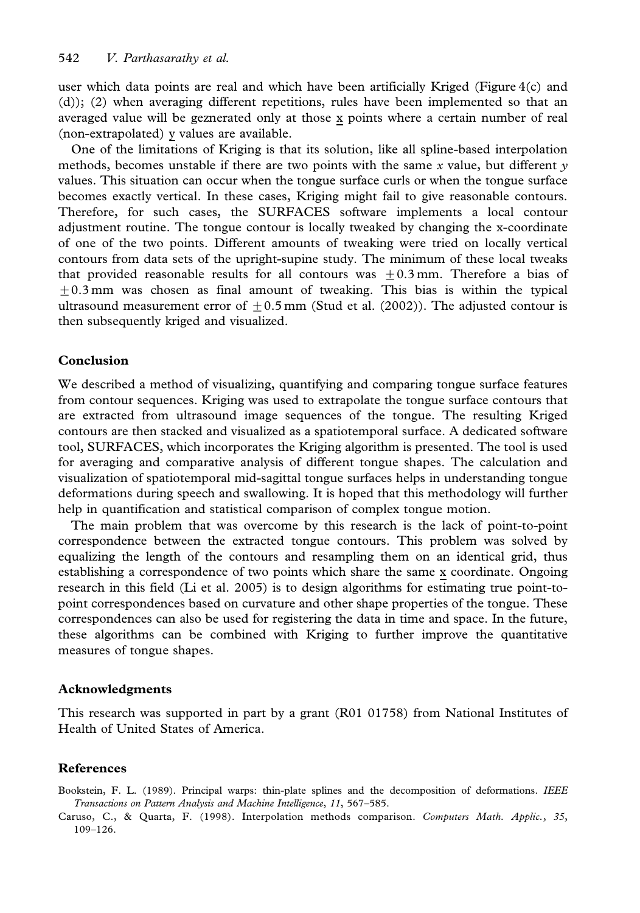user which data points are real and which have been artificially Kriged (Figure 4(c) and (d)); (2) when averaging different repetitions, rules have been implemented so that an averaged value will be geznerated only at those x points where a certain number of real (non-extrapolated) y values are available.

One of the limitations of Kriging is that its solution, like all spline-based interpolation methods, becomes unstable if there are two points with the same x value, but different  $\nu$ values. This situation can occur when the tongue surface curls or when the tongue surface becomes exactly vertical. In these cases, Kriging might fail to give reasonable contours. Therefore, for such cases, the SURFACES software implements a local contour adjustment routine. The tongue contour is locally tweaked by changing the x-coordinate of one of the two points. Different amounts of tweaking were tried on locally vertical contours from data sets of the upright-supine study. The minimum of these local tweaks that provided reasonable results for all contours was  $\pm 0.3$  mm. Therefore a bias of  $\pm$ 0.3 mm was chosen as final amount of tweaking. This bias is within the typical ultrasound measurement error of  $\pm 0.5$  mm (Stud et al. (2002)). The adjusted contour is then subsequently kriged and visualized.

### Conclusion

We described a method of visualizing, quantifying and comparing tongue surface features from contour sequences. Kriging was used to extrapolate the tongue surface contours that are extracted from ultrasound image sequences of the tongue. The resulting Kriged contours are then stacked and visualized as a spatiotemporal surface. A dedicated software tool, SURFACES, which incorporates the Kriging algorithm is presented. The tool is used for averaging and comparative analysis of different tongue shapes. The calculation and visualization of spatiotemporal mid-sagittal tongue surfaces helps in understanding tongue deformations during speech and swallowing. It is hoped that this methodology will further help in quantification and statistical comparison of complex tongue motion.

The main problem that was overcome by this research is the lack of point-to-point correspondence between the extracted tongue contours. This problem was solved by equalizing the length of the contours and resampling them on an identical grid, thus establishing a correspondence of two points which share the same x coordinate. Ongoing research in this field (Li et al. 2005) is to design algorithms for estimating true point-topoint correspondences based on curvature and other shape properties of the tongue. These correspondences can also be used for registering the data in time and space. In the future, these algorithms can be combined with Kriging to further improve the quantitative measures of tongue shapes.

### Acknowledgments

This research was supported in part by a grant (R01 01758) from National Institutes of Health of United States of America.

### References

Bookstein, F. L. (1989). Principal warps: thin-plate splines and the decomposition of deformations. IEEE Transactions on Pattern Analysis and Machine Intelligence, 11, 567–585.

Caruso, C., & Quarta, F. (1998). Interpolation methods comparison. Computers Math. Applic., 35, 109–126.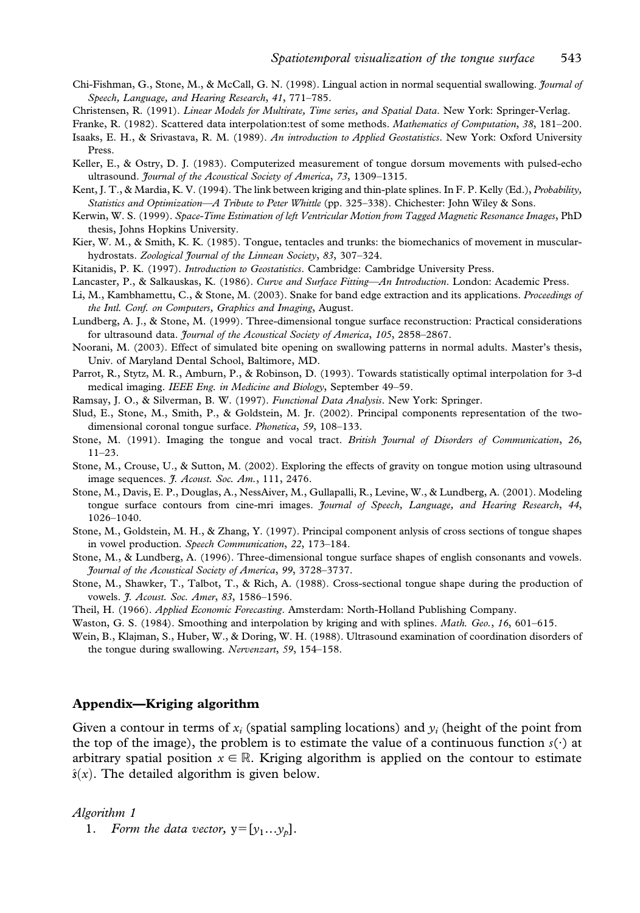- Chi-Fishman, G., Stone, M., & McCall, G. N. (1998). Lingual action in normal sequential swallowing. *Journal of* Speech, Language, and Hearing Research, 41, 771–785.
- Christensen, R. (1991). Linear Models for Multirate, Time series, and Spatial Data. New York: Springer-Verlag.
- Franke, R. (1982). Scattered data interpolation:test of some methods. Mathematics of Computation, 38, 181-200.
- Isaaks, E. H., & Srivastava, R. M. (1989). An introduction to Applied Geostatistics. New York: Oxford University Press.
- Keller, E., & Ostry, D. J. (1983). Computerized measurement of tongue dorsum movements with pulsed-echo ultrasound. Journal of the Acoustical Society of America, 73, 1309-1315.
- Kent, J. T., & Mardia, K. V. (1994). The link between kriging and thin-plate splines. In F. P. Kelly (Ed.), Probability, Statistics and Optimization—A Tribute to Peter Whittle (pp. 325–338). Chichester: John Wiley & Sons.
- Kerwin, W. S. (1999). Space-Time Estimation of left Ventricular Motion from Tagged Magnetic Resonance Images, PhD thesis, Johns Hopkins University.
- Kier, W. M., & Smith, K. K. (1985). Tongue, tentacles and trunks: the biomechanics of movement in muscularhydrostats. Zoological Journal of the Linnean Society, 83, 307-324.
- Kitanidis, P. K. (1997). Introduction to Geostatistics. Cambridge: Cambridge University Press.
- Lancaster, P., & Salkauskas, K. (1986). Curve and Surface Fitting—An Introduction. London: Academic Press.
- Li, M., Kambhamettu, C., & Stone, M. (2003). Snake for band edge extraction and its applications. Proceedings of the Intl. Conf. on Computers, Graphics and Imaging, August.
- Lundberg, A. J., & Stone, M. (1999). Three-dimensional tongue surface reconstruction: Practical considerations for ultrasound data. Journal of the Acoustical Society of America, 105, 2858-2867.
- Noorani, M. (2003). Effect of simulated bite opening on swallowing patterns in normal adults. Master's thesis, Univ. of Maryland Dental School, Baltimore, MD.
- Parrot, R., Stytz, M. R., Amburn, P., & Robinson, D. (1993). Towards statistically optimal interpolation for 3-d medical imaging. IEEE Eng. in Medicine and Biology, September 49–59.
- Ramsay, J. O., & Silverman, B. W. (1997). Functional Data Analysis. New York: Springer.
- Slud, E., Stone, M., Smith, P., & Goldstein, M. Jr. (2002). Principal components representation of the twodimensional coronal tongue surface. Phonetica, 59, 108–133.
- Stone, M. (1991). Imaging the tongue and vocal tract. British Journal of Disorders of Communication, 26, 11–23.
- Stone, M., Crouse, U., & Sutton, M. (2002). Exploring the effects of gravity on tongue motion using ultrasound image sequences. *J. Acoust. Soc. Am.*, 111, 2476.
- Stone, M., Davis, E. P., Douglas, A., NessAiver, M., Gullapalli, R., Levine, W., & Lundberg, A. (2001). Modeling tongue surface contours from cine-mri images. Journal of Speech, Language, and Hearing Research, 44, 1026–1040.
- Stone, M., Goldstein, M. H., & Zhang, Y. (1997). Principal component anlysis of cross sections of tongue shapes in vowel production. Speech Communication, 22, 173–184.
- Stone, M., & Lundberg, A. (1996). Three-dimensional tongue surface shapes of english consonants and vowels. Journal of the Acoustical Society of America, 99, 3728–3737.
- Stone, M., Shawker, T., Talbot, T., & Rich, A. (1988). Cross-sectional tongue shape during the production of vowels. *J. Acoust. Soc. Amer*, 83, 1586-1596.
- Theil, H. (1966). Applied Economic Forecasting. Amsterdam: North-Holland Publishing Company.
- Waston, G. S. (1984). Smoothing and interpolation by kriging and with splines. Math. Geo., 16, 601–615.
- Wein, B., Klajman, S., Huber, W., & Doring, W. H. (1988). Ultrasound examination of coordination disorders of the tongue during swallowing. Nervenzart, 59, 154–158.

## Appendix—Kriging algorithm

Given a contour in terms of  $x_i$  (spatial sampling locations) and  $y_i$  (height of the point from the top of the image), the problem is to estimate the value of a continuous function  $s(\cdot)$  at arbitrary spatial position  $x \in \mathbb{R}$ . Kriging algorithm is applied on the contour to estimate  $\hat{s}(x)$ . The detailed algorithm is given below.

#### Algorithm 1

1. Form the data vector,  $y=[y_1...y_p]$ .